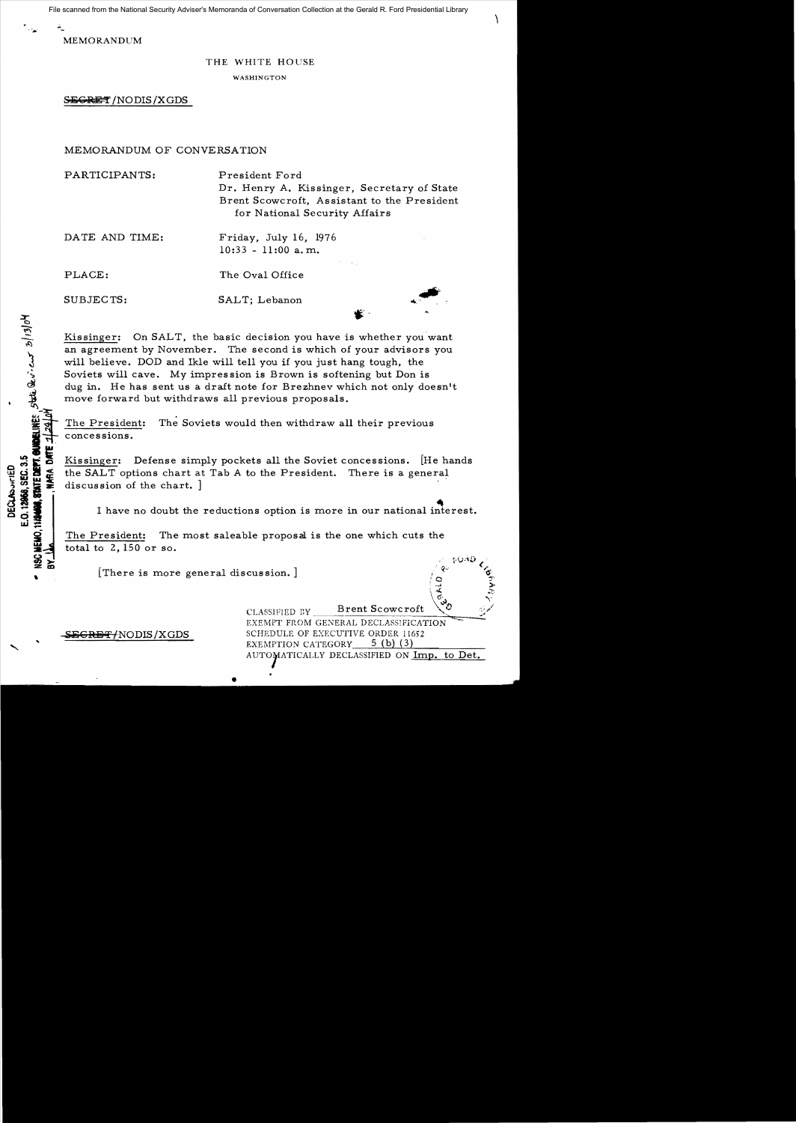File scanned from the National Security Adviser's Memoranda of Conversation Collection at the Gerald R. Ford Presidential Library

 $\mathcal{L}_{\mathcal{L}}$ 

MEMORANDUM

## THE WHITE HOUSE

WASHINGTON

SEGRET /NODIS/XGDS

## MEMORANDUM OF CONVERSATION

PARTICIPANTS: President Ford Dr. Henry A. Kissinger, Secretary of State Brent Scowcroft, Assistant to the President for National Security Affairs

DATE AND TIME: Friday, July 16, 1976 10:33 - 11 :00 a. m.

**868, SEC. 3.5**<br>**STATE DEPT. GUIDELINE**S. State Quoi cuit 20/13/0<sup>1</sup>

E.O. 12968, SEC. 3.5 DECLASSIFIED

模样

PLACE: The Oval Office

SUBJECTS: SALT; Lebanon

Kissinger: On SALT, the basic decision you have is whether you want an agreement by November. The second is which of your advisors you will believe. DOD and Ik1e will tell you if you just hang tough, the Soviets will cave. My impression is Brown is softening but Don is dug in. He has sent us a draft note for Brezhnev which not only doesn't move forward but withdraws all previous proposals.

The President: The Soviets would then withdraw all their previous concessions.

Kissinger: Defense simply pockets all the Soviet concessions. [He hands the SALT options chart at Tab A to the President. There is a general discussion of the chart. ]

I have no doubt the reductions option is more in our national interest.

The President: The most saleable proposal is the one which cuts the total to 2, 150 or so.

[There is more general discussion.]

CLASSIFIED BY Brent Scowcroft EXEMPT FROM GENERAL DECLASSIFICATION **GEGRET/NODIS/XGDS** SCHEDULE OF EXECUTIVE ORDER 11652<br>EXEMPTION CATEGORY 5 (b) (3) AUTOMATICALLY DECLASSIFIED ON Imp. to Det.

*"· ... 0 .* 

 $\mathbb{E}$   $\mathbb{E}$   $\mathbb{E}$  $\frac{1}{2}$  :  $\frac{1}{2}$  $\begin{matrix} \sqrt{6} & & \sqrt{6} \ 1 & & \sqrt{6} & \sqrt{6} \end{matrix}$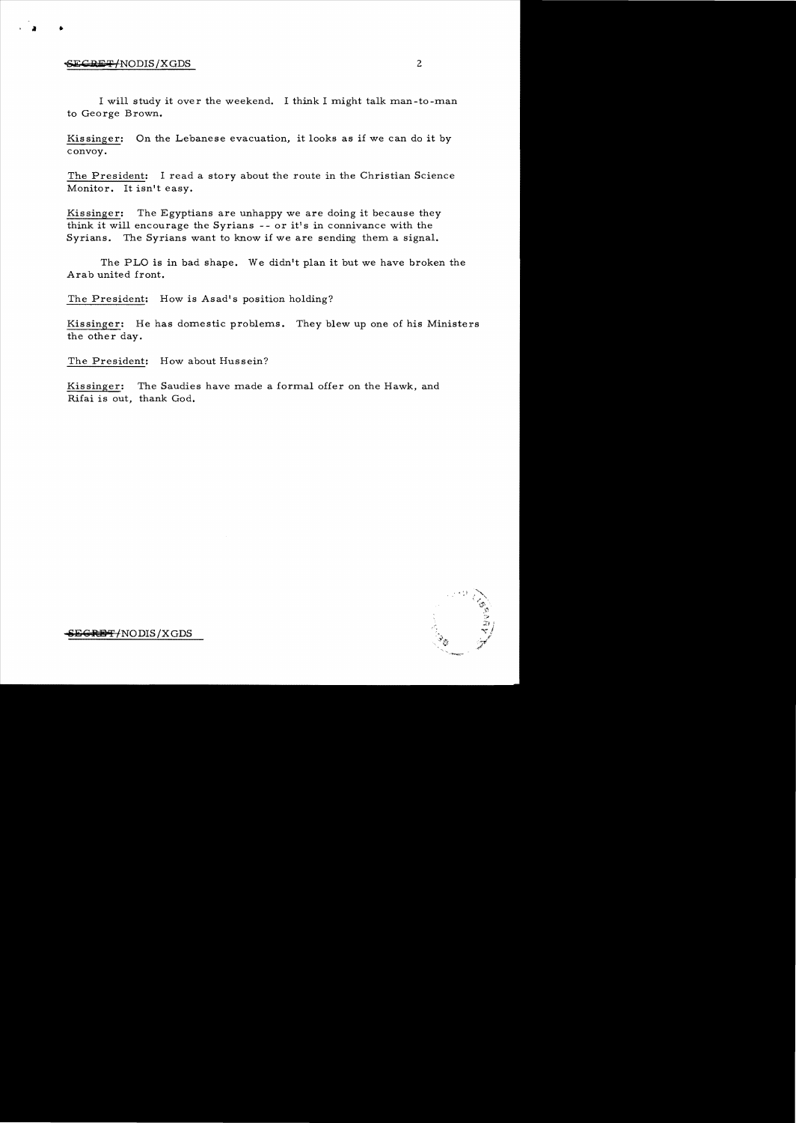## $\frac{1}{2}$  . Secret / NODIS/XGDS

 $\mathbf{r}$ 

I will study it over the weekend. I think I might talk man-to-man to George Brown.

Kis singer: On the Lebanese evacuation, it looks as if we can do it by convoy.

The President: I read a story about the route in the Christian Science Monitor. It isn't easy.

Kissinger: The Egyptians are unhappy we are doing it because they think it will encourage the Syrians  $-$ - or it's in connivance with the Syrians. The Syrians want to know if we are sending them a signal.

The PLO is in bad shape. We didn't plan it but we have broken the Arab united front.

The President: How is Asad's position holding?

Kissinger: He has domestic problems. They blew up one of his Ministers the other day.

The President: How about Hussein?

Kissinger: The Saudies have made a formal offer on the Hawk, and Rifai is out, thank God.

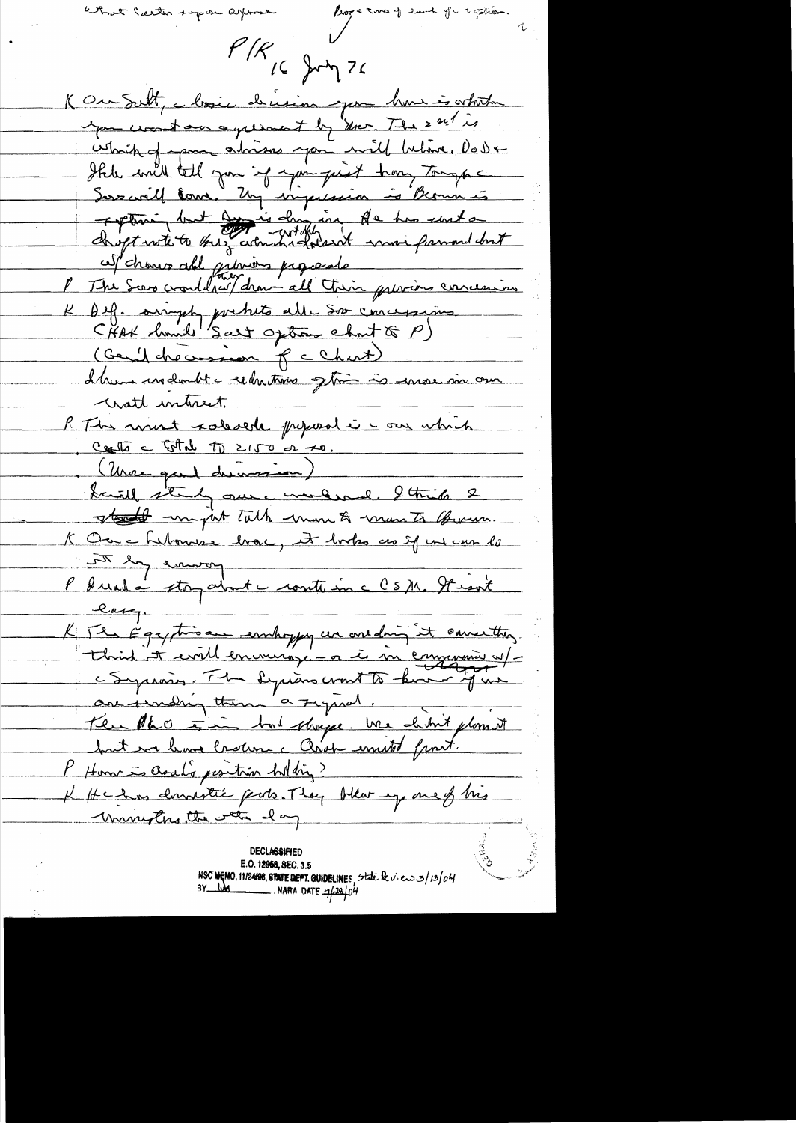entre nous supon apres

 $P/K$  (c) Jump 76

K Our Sutt, Mosie driesin par hour is white you wont on agreement by Your The sail is which of para abrisons you will believe. Do De Ihr will tell you if you just home tomps Sous crill Come, Un impérieur à Beaumes ces change all priviers proposate K Def. simply pochito alle Soo concessions CHAK hund 'Salt option chat (P) (Gentlebecassion f c Chart) I have un doubt a reductions often is more in our watt interest. P The most salesede prepared i can which Carlo = Total to 2150 or 20. Saint standy our investion)<br>La alberty our investigant la China 2 K Ou a Libourne brac, et bortes as sy un une la P duite storp about - route in c CSM. Stient long. K The Egyptisan embaypy un one dring it converting. "think it evil en monge - a i in emperaire ut-<br>c Syriains. The syrians wort to have just but we have lasten a Chok united front. P Home is asaly position holding? K Hchas donnestie parts. They blev up one of his University the water day

**DECLASSIFIED** E.O. 12968, SEC. 3.5<br>NSC MEMO, 11/24/98, STATE DEPT. GUIDELINES, State be v. en 3/3/04  $3Y_{12}$  bad NARA DATE  $7/29/04$